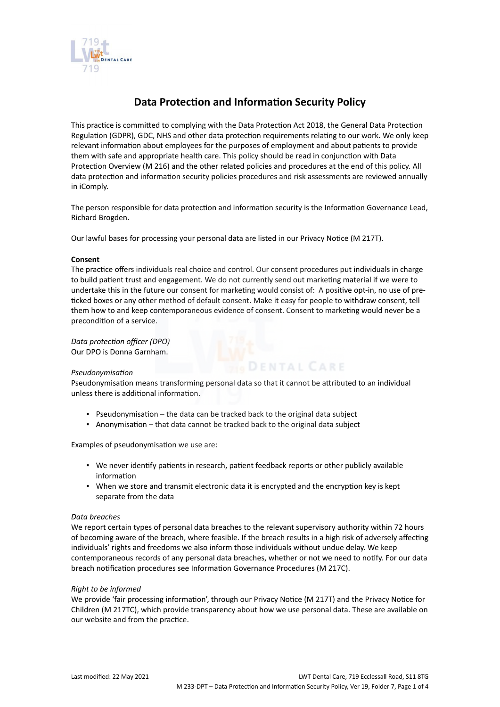

# **Data Protection and Information Security Policy**

This practice is committed to complying with the Data Protection Act 2018, the General Data Protection Regulation (GDPR), GDC, NHS and other data protection requirements relating to our work. We only keep relevant information about employees for the purposes of employment and about patients to provide them with safe and appropriate health care. This policy should be read in conjunction with Data Protection Overview (M 216) and the other related policies and procedures at the end of this policy. All data protection and information security policies procedures and risk assessments are reviewed annually in iComply.

The person responsible for data protection and information security is the Information Governance Lead, Richard Brogden.

Our lawful bases for processing your personal data are listed in our Privacy Notice (M 217T).

## **Consent**

The practice offers individuals real choice and control. Our consent procedures put individuals in charge to build patient trust and engagement. We do not currently send out marketing material if we were to undertake this in the future our consent for marketing would consist of: A positive opt-in, no use of preticked boxes or any other method of default consent. Make it easy for people to withdraw consent, tell them how to and keep contemporaneous evidence of consent. Consent to marketing would never be a precondition of a service.

*Data protection officer (DPO)* Our DPO is Donna Garnham.

## *Pseudonymisation*

Pseudonymisation means transforming personal data so that it cannot be attributed to an individual unless there is additional information.

**DENTAL CARE** 

- Pseudonymisation the data can be tracked back to the original data subject
- **EXECT** Anonymisation that data cannot be tracked back to the original data subject

Examples of pseudonymisation we use are:

- We never identify patients in research, patient feedback reports or other publicly available information
- When we store and transmit electronic data it is encrypted and the encryption key is kept separate from the data

## *Data breaches*

We report certain types of personal data breaches to the relevant supervisory authority within 72 hours of becoming aware of the breach, where feasible. If the breach results in a high risk of adversely affecting individuals' rights and freedoms we also inform those individuals without undue delay. We keep contemporaneous records of any personal data breaches, whether or not we need to notify. For our data breach notification procedures see Information Governance Procedures (M 217C).

## *Right to be informed*

We provide 'fair processing information', through our Privacy Notice (M 217T) and the Privacy Notice for Children (M 217TC), which provide transparency about how we use personal data. These are available on our website and from the practice.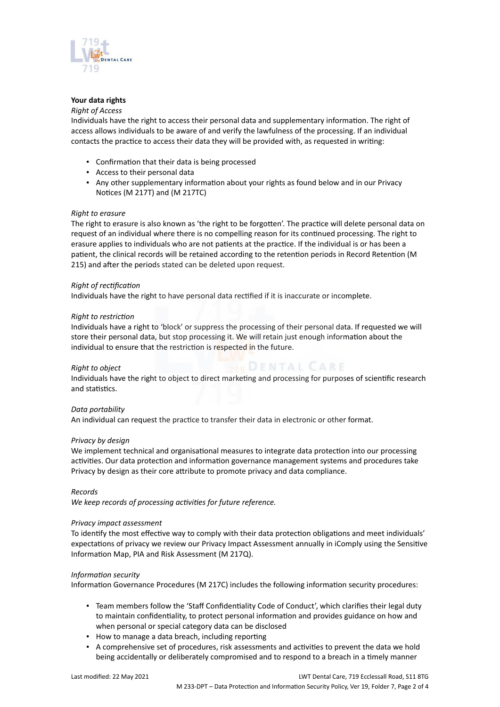

# **Your data rights**

## *Right of Access*

Individuals have the right to access their personal data and supplementary information. The right of access allows individuals to be aware of and verify the lawfulness of the processing. If an individual contacts the practice to access their data they will be provided with, as requested in writing:

- Confirmation that their data is being processed
- Access to their personal data
- Any other supplementary information about your rights as found below and in our Privacy Notices (M 217T) and (M 217TC)

## *Right to erasure*

The right to erasure is also known as 'the right to be forgotten'. The practice will delete personal data on request of an individual where there is no compelling reason for its continued processing. The right to erasure applies to individuals who are not patients at the practice. If the individual is or has been a patient, the clinical records will be retained according to the retention periods in Record Retention (M 215) and after the periods stated can be deleted upon request.

## *Right of rectification*

Individuals have the right to have personal data rectified if it is inaccurate or incomplete.

## *Right to restriction*

Individuals have a right to 'block' or suppress the processing of their personal data. If requested we will store their personal data, but stop processing it. We will retain just enough information about the individual to ensure that the restriction is respected in the future.

# *Right to object*

**HODENTAL CARE** 

Individuals have the right to object to direct marketing and processing for purposes of scientific research and statistics.

# *Data portability*

An individual can request the practice to transfer their data in electronic or other format.

## *Privacy by design*

We implement technical and organisational measures to integrate data protection into our processing activities. Our data protection and information governance management systems and procedures take Privacy by design as their core attribute to promote privacy and data compliance.

## *Records*

*We keep records of processing activities for future reference.*

## *Privacy impact assessment*

To identify the most effective way to comply with their data protection obligations and meet individuals' expectations of privacy we review our Privacy Impact Assessment annually in iComply using the Sensitive Information Map, PIA and Risk Assessment (M 217Q).

## *Information security*

Information Governance Procedures (M 217C) includes the following information security procedures:

- Team members follow the 'Staff Confidentiality Code of Conduct', which clarifies their legal duty to maintain confidentiality, to protect personal information and provides guidance on how and when personal or special category data can be disclosed
- How to manage a data breach, including reporting
- A comprehensive set of procedures, risk assessments and activities to prevent the data we hold being accidentally or deliberately compromised and to respond to a breach in a timely manner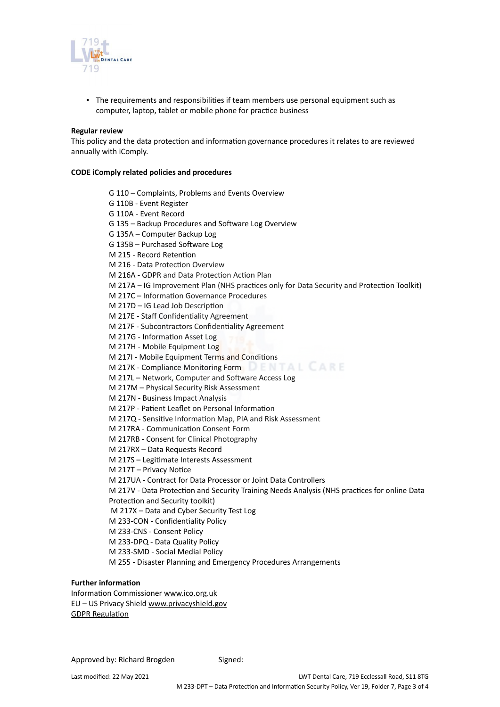

▪ The requirements and responsibilities if team members use personal equipment such as computer, laptop, tablet or mobile phone for practice business

#### **Regular review**

This policy and the data protection and information governance procedures it relates to are reviewed annually with iComply.

## **CODE iComply related policies and procedures**

G 110 – Complaints, Problems and Events Overview G 110B - Event Register G 110A - Event Record G 135 – Backup Procedures and Software Log Overview G 135A – Computer Backup Log G 135B – Purchased Software Log M 215 - Record Retention M 216 - Data Protection Overview M 216A - GDPR and Data Protection Action Plan M 217A – IG Improvement Plan (NHS practices only for Data Security and Protection Toolkit) M 217C – Information Governance Procedures M 217D – IG Lead Job Description M 217E - Staff Confidentiality Agreement M 217F - Subcontractors Confidentiality Agreement M 217G - Information Asset Log M 217H - Mobile Equipment Log M 217I - Mobile Equipment Terms and Conditions M 217K - Compliance Monitoring Form DENTAL CARE M 217L – Network, Computer and Software Access Log M 217M – Physical Security Risk Assessment M 217N - Business Impact Analysis M 217P - Patient Leaflet on Personal Information M 217Q - Sensitive Information Map, PIA and Risk Assessment M 217RA - Communication Consent Form M 217RB - Consent for Clinical Photography M 217RX – Data Requests Record M 217S – Legitimate Interests Assessment M 217T – Privacy Notice M 217UA - Contract for Data Processor or Joint Data Controllers M 217V - Data Protection and Security Training Needs Analysis (NHS practices for online Data Protection and Security toolkit) M 217X – Data and Cyber Security Test Log M 233-CON - Confidentiality Policy M 233-CNS - Consent Policy M 233-DPQ - Data Quality Policy M 233-SMD - Social Medial Policy

M 255 - Disaster Planning and Emergency Procedures Arrangements

# **Further information**

Information Commissioner [www.ico.org.uk](https://icomply.agiliosoftware.com/api/export/render/a1f0907b-42bb-4e9e-80b1-964ee0f8dc86/www.ico.org.uk) EU – US Privacy Shield [www.privacyshield.gov](https://icomply.agiliosoftware.com/api/export/render/a1f0907b-42bb-4e9e-80b1-964ee0f8dc86/www.privacyshield.gov) [GDPR Regulation](http://eur-lex.europa.eu/legal-content/EN/TXT/PDF/?uri=CELEX:32016R0679&from=EN)

Approved by: Richard Brogden Signed: